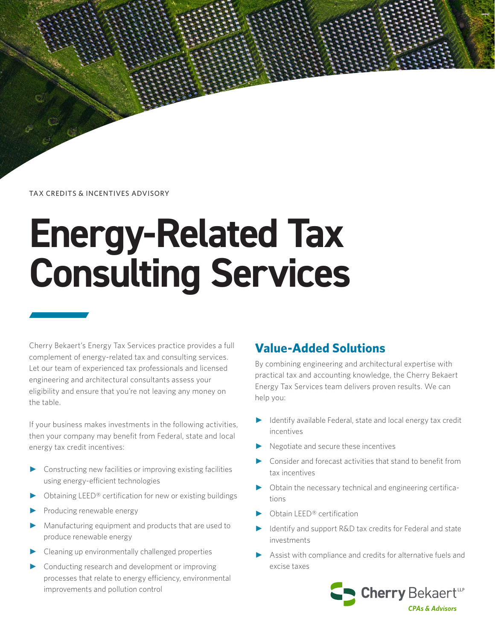TAX CREDITS & INCENTIVES ADVISORY

# **Energy-Related Tax Consulting Services**

Cherry Bekaert's Energy Tax Services practice provides a full complement of energy-related tax and consulting services. Let our team of experienced tax professionals and licensed engineering and architectural consultants assess your eligibility and ensure that you're not leaving any money on the table.

If your business makes investments in the following activities, then your company may benefit from Federal, state and local energy tax credit incentives:

- ► Constructing new facilities or improving existing facilities using energy-efficient technologies
- Obtaining LEED® certification for new or existing buildings
- Producing renewable energy
- Manufacturing equipment and products that are used to produce renewable energy
- Cleaning up environmentally challenged properties
- Conducting research and development or improving processes that relate to energy efficiency, environmental improvements and pollution control

# **Value-Added Solutions**

By combining engineering and architectural expertise with practical tax and accounting knowledge, the Cherry Bekaert Energy Tax Services team delivers proven results. We can help you:

- ► Identify available Federal, state and local energy tax credit incentives
- ► Negotiate and secure these incentives
- Consider and forecast activities that stand to benefit from tax incentives
- ► Obtain the necessary technical and engineering certifications
- ► Obtain LEED® certification
- Identify and support R&D tax credits for Federal and state investments
- Assist with compliance and credits for alternative fuels and excise taxes